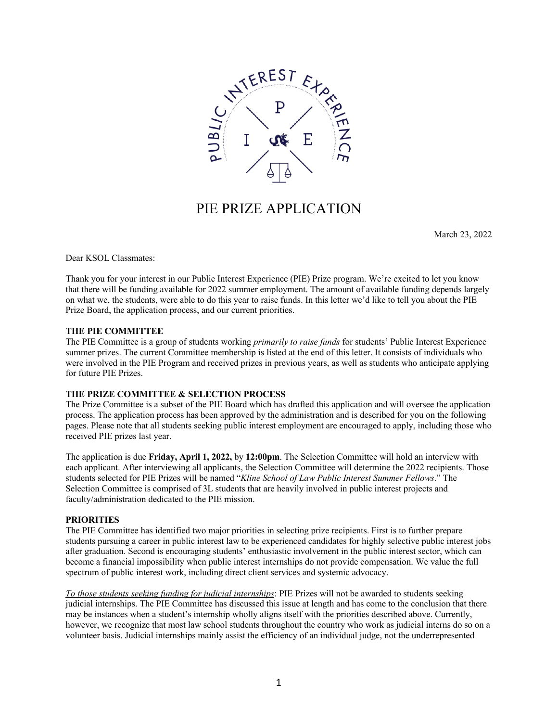

## PIE PRIZE APPLICATION

March 23, 2022

Dear KSOL Classmates:

Thank you for your interest in our Public Interest Experience (PIE) Prize program. We're excited to let you know that there will be funding available for 2022 summer employment. The amount of available funding depends largely on what we, the students, were able to do this year to raise funds. In this letter we'd like to tell you about the PIE Prize Board, the application process, and our current priorities.

#### **THE PIE COMMITTEE**

The PIE Committee is a group of students working *primarily to raise funds* for students' Public Interest Experience summer prizes. The current Committee membership is listed at the end of this letter. It consists of individuals who were involved in the PIE Program and received prizes in previous years, as well as students who anticipate applying for future PIE Prizes.

#### **THE PRIZE COMMITTEE & SELECTION PROCESS**

The Prize Committee is a subset of the PIE Board which has drafted this application and will oversee the application process. The application process has been approved by the administration and is described for you on the following pages. Please note that all students seeking public interest employment are encouraged to apply, including those who received PIE prizes last year.

The application is due **Friday, April 1, 2022,** by **12:00pm**. The Selection Committee will hold an interview with each applicant. After interviewing all applicants, the Selection Committee will determine the 2022 recipients. Those students selected for PIE Prizes will be named "*Kline School of Law Public Interest Summer Fellows*." The Selection Committee is comprised of 3L students that are heavily involved in public interest projects and faculty/administration dedicated to the PIE mission.

#### **PRIORITIES**

The PIE Committee has identified two major priorities in selecting prize recipients. First is to further prepare students pursuing a career in public interest law to be experienced candidates for highly selective public interest jobs after graduation. Second is encouraging students' enthusiastic involvement in the public interest sector, which can become a financial impossibility when public interest internships do not provide compensation. We value the full spectrum of public interest work, including direct client services and systemic advocacy.

*To those students seeking funding for judicial internships*: PIE Prizes will not be awarded to students seeking judicial internships. The PIE Committee has discussed this issue at length and has come to the conclusion that there may be instances when a student's internship wholly aligns itself with the priorities described above. Currently, however, we recognize that most law school students throughout the country who work as judicial interns do so on a volunteer basis. Judicial internships mainly assist the efficiency of an individual judge, not the underrepresented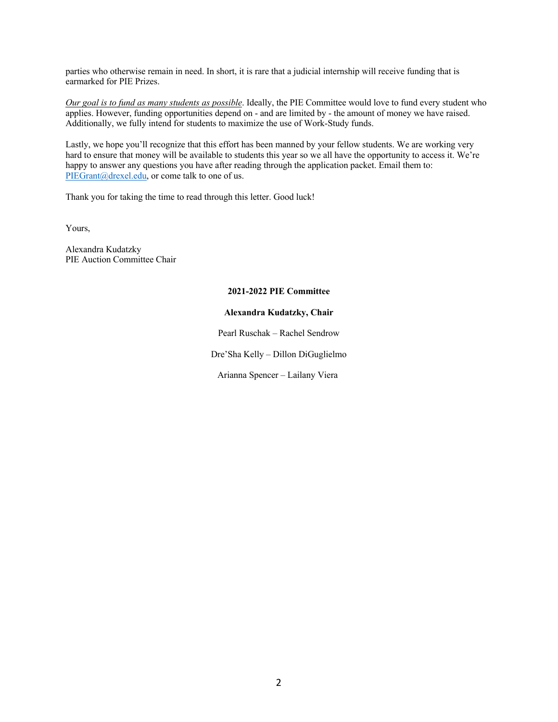parties who otherwise remain in need. In short, it is rare that a judicial internship will receive funding that is earmarked for PIE Prizes.

*Our goal is to fund as many students as possible*. Ideally, the PIE Committee would love to fund every student who applies. However, funding opportunities depend on - and are limited by - the amount of money we have raised. Additionally, we fully intend for students to maximize the use of Work-Study funds.

Lastly, we hope you'll recognize that this effort has been manned by your fellow students. We are working very hard to ensure that money will be available to students this year so we all have the opportunity to access it. We're happy to answer any questions you have after reading through the application packet. Email them to: PIEGrant@drexel.edu, or come talk to one of us.

Thank you for taking the time to read through this letter. Good luck!

Yours,

Alexandra Kudatzky PIE Auction Committee Chair

#### **2021-2022 PIE Committee**

#### **Alexandra Kudatzky, Chair**

Pearl Ruschak – Rachel Sendrow

Dre'Sha Kelly – Dillon DiGuglielmo

Arianna Spencer – Lailany Viera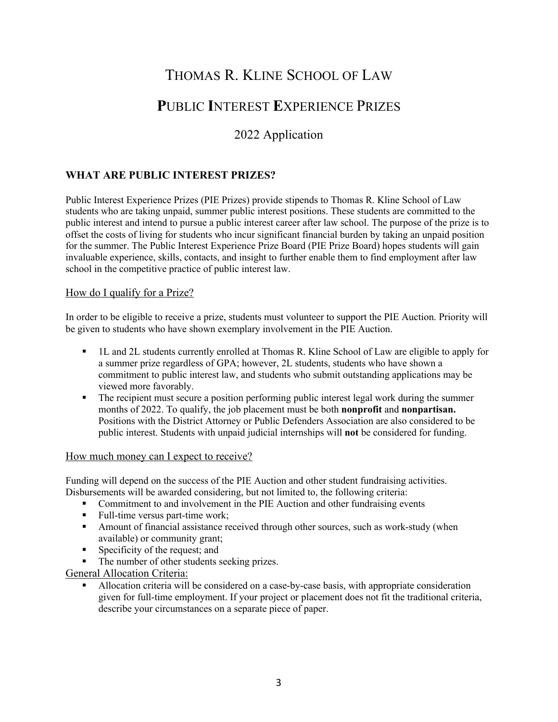# THOMAS R. KLINE SCHOOL OF LAW

# **P**UBLIC **I**NTEREST **E**XPERIENCE PRIZES

## 2022 Application

## **WHAT ARE PUBLIC INTEREST PRIZES?**

Public Interest Experience Prizes (PIE Prizes) provide stipends to Thomas R. Kline School of Law students who are taking unpaid, summer public interest positions. These students are committed to the public interest and intend to pursue a public interest career after law school. The purpose of the prize is to offset the costs of living for students who incur significant financial burden by taking an unpaid position for the summer. The Public Interest Experience Prize Board (PIE Prize Board) hopes students will gain invaluable experience, skills, contacts, and insight to further enable them to find employment after law school in the competitive practice of public interest law.

#### How do I qualify for a Prize?

In order to be eligible to receive a prize, students must volunteer to support the PIE Auction. Priority will be given to students who have shown exemplary involvement in the PIE Auction.

- § 1L and 2L students currently enrolled at Thomas R. Kline School of Law are eligible to apply for a summer prize regardless of GPA; however, 2L students, students who have shown a commitment to public interest law, and students who submit outstanding applications may be viewed more favorably.
- The recipient must secure a position performing public interest legal work during the summer months of 2022. To qualify, the job placement must be both **nonprofit** and **nonpartisan.**  Positions with the District Attorney or Public Defenders Association are also considered to be public interest. Students with unpaid judicial internships will **not** be considered for funding.

#### How much money can I expect to receive?

Funding will depend on the success of the PIE Auction and other student fundraising activities. Disbursements will be awarded considering, but not limited to, the following criteria:

- Commitment to and involvement in the PIE Auction and other fundraising events
- Full-time versus part-time work;
- Amount of financial assistance received through other sources, such as work-study (when available) or community grant;
- Specificity of the request; and
- The number of other students seeking prizes.

General Allocation Criteria:

§ Allocation criteria will be considered on a case-by-case basis, with appropriate consideration given for full-time employment. If your project or placement does not fit the traditional criteria, describe your circumstances on a separate piece of paper.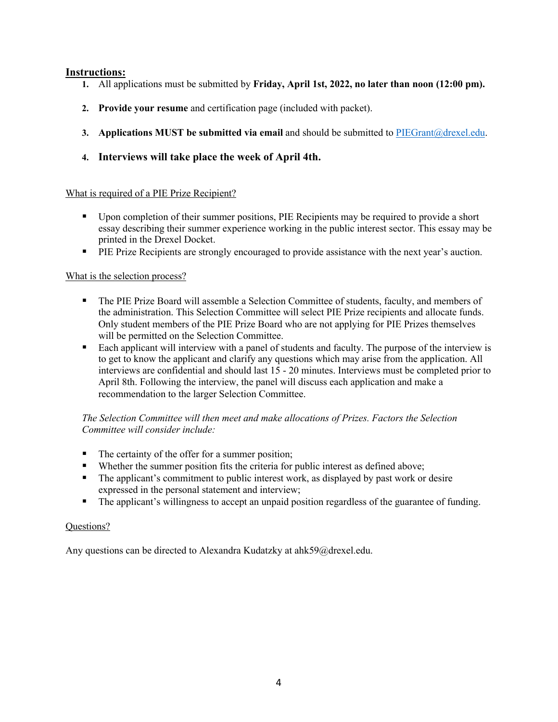### **Instructions:**

- **1.** All applications must be submitted by **Friday, April 1st, 2022, no later than noon (12:00 pm).**
- **2. Provide your resume** and certification page (included with packet).
- **3. Applications MUST be submitted via email** and should be submitted to PIEGrant@drexel.edu.
- **4. Interviews will take place the week of April 4th.**

### What is required of a PIE Prize Recipient?

- Upon completion of their summer positions, PIE Recipients may be required to provide a short essay describing their summer experience working in the public interest sector. This essay may be printed in the Drexel Docket.
- **PIE Prize Recipients are strongly encouraged to provide assistance with the next year's auction.**

### What is the selection process?

- The PIE Prize Board will assemble a Selection Committee of students, faculty, and members of the administration. This Selection Committee will select PIE Prize recipients and allocate funds. Only student members of the PIE Prize Board who are not applying for PIE Prizes themselves will be permitted on the Selection Committee.
- Each applicant will interview with a panel of students and faculty. The purpose of the interview is to get to know the applicant and clarify any questions which may arise from the application. All interviews are confidential and should last 15 - 20 minutes. Interviews must be completed prior to April 8th. Following the interview, the panel will discuss each application and make a recommendation to the larger Selection Committee.

#### *The Selection Committee will then meet and make allocations of Prizes. Factors the Selection Committee will consider include:*

- The certainty of the offer for a summer position;
- Whether the summer position fits the criteria for public interest as defined above;
- The applicant's commitment to public interest work, as displayed by past work or desire expressed in the personal statement and interview;
- The applicant's willingness to accept an unpaid position regardless of the guarantee of funding.

#### Questions?

Any questions can be directed to Alexandra Kudatzky at ahk59@drexel.edu.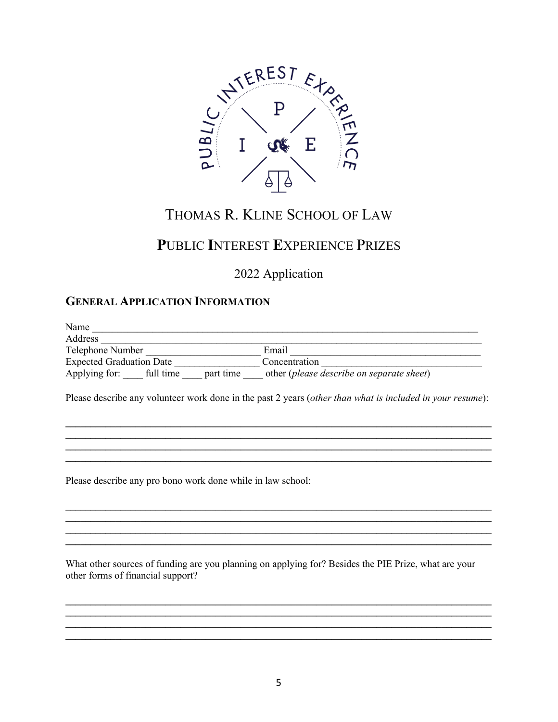

# THOMAS R. KLINE SCHOOL OF LAW

# PUBLIC INTEREST EXPERIENCE PRIZES

2022 Application

## **GENERAL APPLICATION INFORMATION**

| Name                                                          |  |  |                                                                                                           |
|---------------------------------------------------------------|--|--|-----------------------------------------------------------------------------------------------------------|
| Address                                                       |  |  |                                                                                                           |
| Telephone Number<br><b>Expected Graduation Date</b>           |  |  | Email<br>Concentration                                                                                    |
|                                                               |  |  |                                                                                                           |
|                                                               |  |  | Please describe any volunteer work done in the past 2 years (other than what is included in your resume): |
|                                                               |  |  |                                                                                                           |
|                                                               |  |  |                                                                                                           |
|                                                               |  |  |                                                                                                           |
|                                                               |  |  |                                                                                                           |
| Dlagge december ouvenue hange woult done while in low school. |  |  |                                                                                                           |

Please describe any pro bono work done while in law school:

What other sources of funding are you planning on applying for? Besides the PIE Prize, what are your other forms of financial support?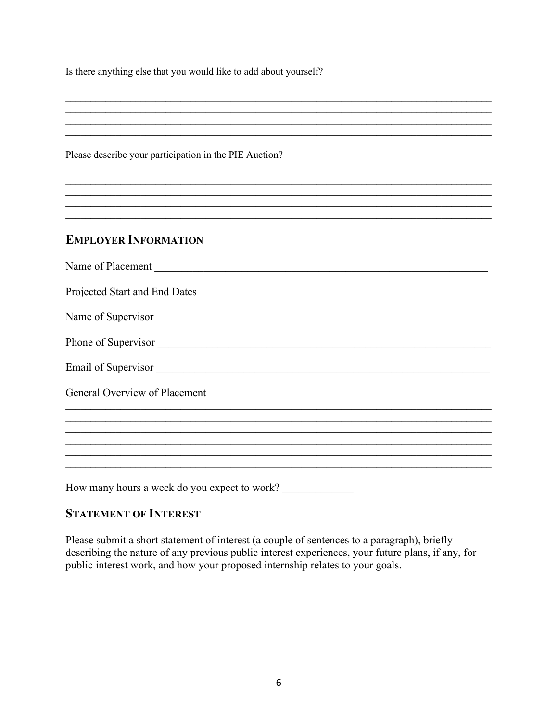Is there anything else that you would like to add about yourself?

Please describe your participation in the PIE Auction?

## **EMPLOYER INFORMATION**

| Projected Start and End Dates |
|-------------------------------|
| Name of Supervisor            |
|                               |
|                               |
| General Overview of Placement |
|                               |
|                               |
|                               |
|                               |

<u> 1989 - Johann Stoff, deutscher Stoff, der Stoff, der Stoff, der Stoff, der Stoff, der Stoff, der Stoff, der S</u> 

<u> 1989 - Johann Stoff, amerikansk politiker (d. 1989)</u>

How many hours a week do you expect to work?

## **STATEMENT OF INTEREST**

Please submit a short statement of interest (a couple of sentences to a paragraph), briefly describing the nature of any previous public interest experiences, your future plans, if any, for public interest work, and how your proposed internship relates to your goals.